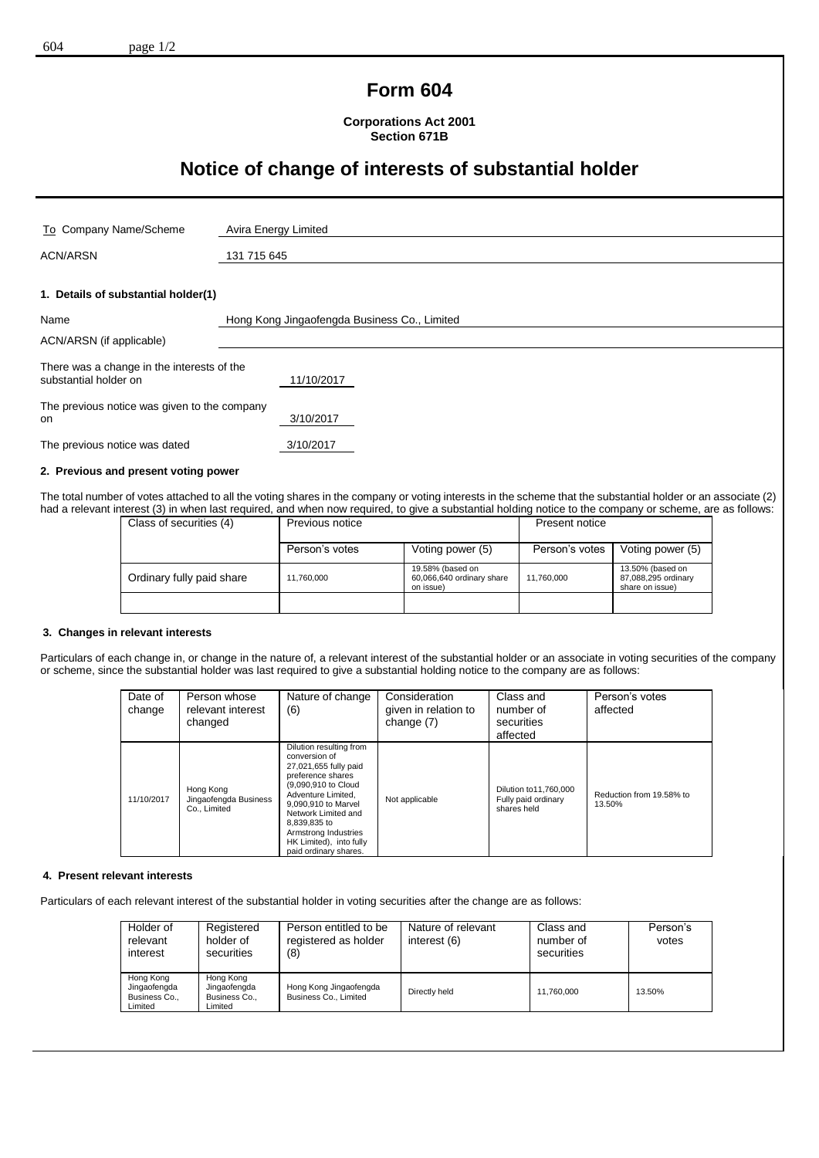## **Form 604**

**Corporations Act 2001 Section 671B**

# **Notice of change of interests of substantial holder**

| To Company Name/Scheme                                              | Avira Energy Limited                         |  |
|---------------------------------------------------------------------|----------------------------------------------|--|
| <b>ACN/ARSN</b>                                                     | 131 715 645                                  |  |
|                                                                     |                                              |  |
| 1. Details of substantial holder(1)                                 |                                              |  |
| Name                                                                | Hong Kong Jingaofengda Business Co., Limited |  |
| ACN/ARSN (if applicable)                                            |                                              |  |
| There was a change in the interests of the<br>substantial holder on | 11/10/2017                                   |  |
| The previous notice was given to the company<br>on                  | 3/10/2017                                    |  |
| The previous notice was dated                                       | 3/10/2017                                    |  |
| 2. Previous and present voting power                                |                                              |  |

The total number of votes attached to all the voting shares in the company or voting interests in the scheme that the substantial holder or an associate (2) had a relevant interest (3) in when last required, and when now required, to give a substantial holding notice to the company or scheme, are as follows:

| Class of securities (4)   | Previous notice |                                                            | Present notice |                                                            |
|---------------------------|-----------------|------------------------------------------------------------|----------------|------------------------------------------------------------|
|                           | Person's votes  | Voting power (5)                                           | Person's votes | Voting power (5)                                           |
| Ordinary fully paid share | 11.760.000      | 19.58% (based on<br>60,066,640 ordinary share<br>on issue) | 11.760.000     | 13.50% (based on<br>87,088,295 ordinary<br>share on issue) |
|                           |                 |                                                            |                |                                                            |

#### **3. Changes in relevant interests**

Particulars of each change in, or change in the nature of, a relevant interest of the substantial holder or an associate in voting securities of the company or scheme, since the substantial holder was last required to give a substantial holding notice to the company are as follows:

| Date of<br>change | Person whose<br>relevant interest<br>changed       | Nature of change<br>(6)                                                                                                                                                                                                                                                       | Consideration<br>given in relation to<br>change (7) | Class and<br>number of<br>securities<br>affected             | Person's votes<br>affected         |
|-------------------|----------------------------------------------------|-------------------------------------------------------------------------------------------------------------------------------------------------------------------------------------------------------------------------------------------------------------------------------|-----------------------------------------------------|--------------------------------------------------------------|------------------------------------|
| 11/10/2017        | Hong Kong<br>Jingaofengda Business<br>Co., Limited | Dilution resulting from<br>conversion of<br>27,021,655 fully paid<br>preference shares<br>(9,090,910 to Cloud<br>Adventure Limited.<br>9.090.910 to Marvel<br>Network Limited and<br>8.839.835 to<br>Armstrong Industries<br>HK Limited), into fully<br>paid ordinary shares. | Not applicable                                      | Dilution to 11.760.000<br>Fully paid ordinary<br>shares held | Reduction from 19.58% to<br>13.50% |

#### **4. Present relevant interests**

Particulars of each relevant interest of the substantial holder in voting securities after the change are as follows:

| Holder of<br>relevant<br>interest                     | Registered<br>holder of<br>securities                 | Person entitled to be<br>registered as holder<br>(8) | Nature of relevant<br>interest (6) | Class and<br>number of<br>securities | Person's<br>votes |
|-------------------------------------------------------|-------------------------------------------------------|------------------------------------------------------|------------------------------------|--------------------------------------|-------------------|
| Hong Kong<br>Jingaofengda<br>Business Co.,<br>Limited | Hong Kong<br>Jingaofengda<br>Business Co.,<br>Limited | Hong Kong Jingaofengda<br>Business Co., Limited      | Directly held                      | 11.760.000                           | 13.50%            |